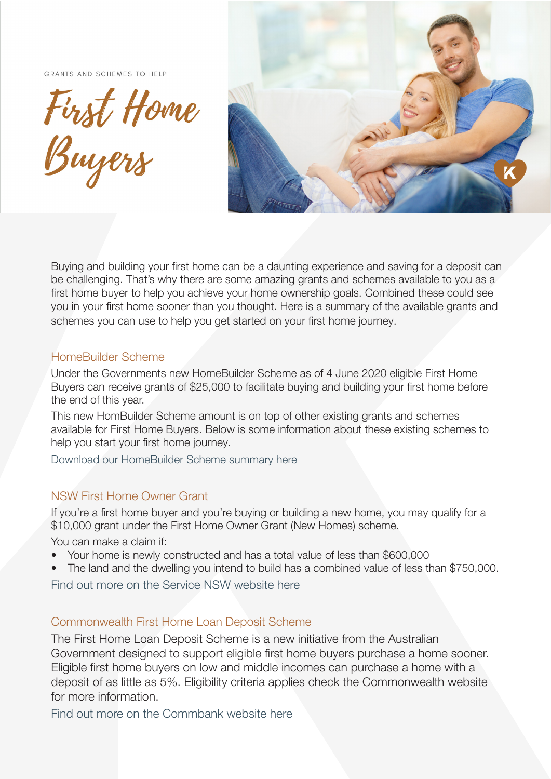GRANTS AND SCHEMES TO HELP

First Home



Buying and building your first home can be a daunting experience and saving for a deposit can be challenging. That's why there are some amazing grants and schemes available to you as a first home buyer to help you achieve your home ownership goals. Combined these could see you in your first home sooner than you thought. Here is a summary of the available grants and schemes you can use to help you get started on your first home journey.

#### HomeBuilder Scheme

Under the Governments new HomeBuilder Scheme as of 4 June 2020 eligible First Home Buyers can receive grants of \$25,000 to facilitate buying and building your first home before the end of this year.

This new HomBuilder Scheme amount is on top of other existing grants and schemes available for First Home Buyers. Below is some information about these existing schemes to help you start your first home journey.

Download our HomeBuilder Scheme summary here

### NSW First Home Owner Grant

If you're a first home buyer and you're buying or building a new home, you may qualify for a \$10,000 grant under the First Home Owner Grant (New Homes) scheme.

You can make a claim if:

- Your home is newly constructed and has a total value of less than \$600,000
- The land and the dwelling you intend to build has a combined value of less than \$750,000.

Find out more on the Service NSW website here

### Commonwealth First Home Loan Deposit Scheme

The First Home Loan Deposit Scheme is a new initiative from the Australian Government designed to support eligible first home buyers purchase a home sooner. Eligible first home buyers on low and middle incomes can purchase a home with a deposit of as little as 5%. Eligibility criteria applies check the Commonwealth website for more information.

Find out more on the Commbank website here